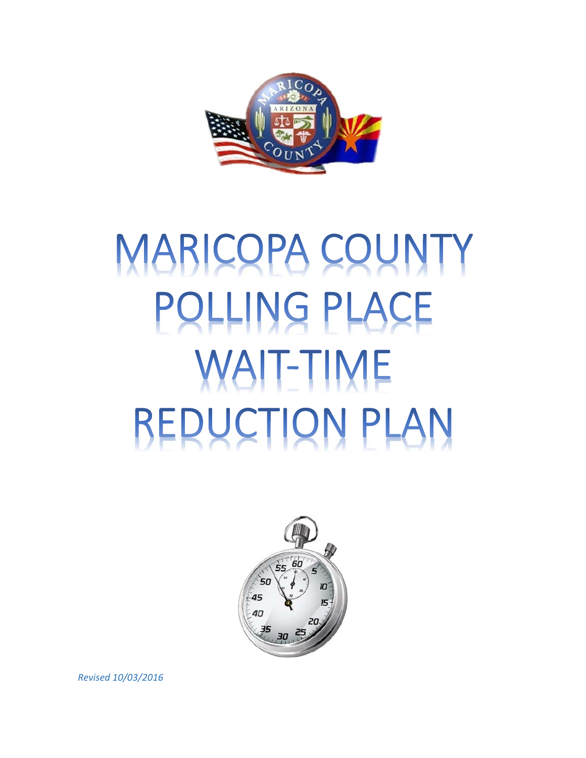

# MARICOPA COUNTY POLLING PLACE **WAIT-TIME REDUCTION PLAN**



*Revised 10/03/2016*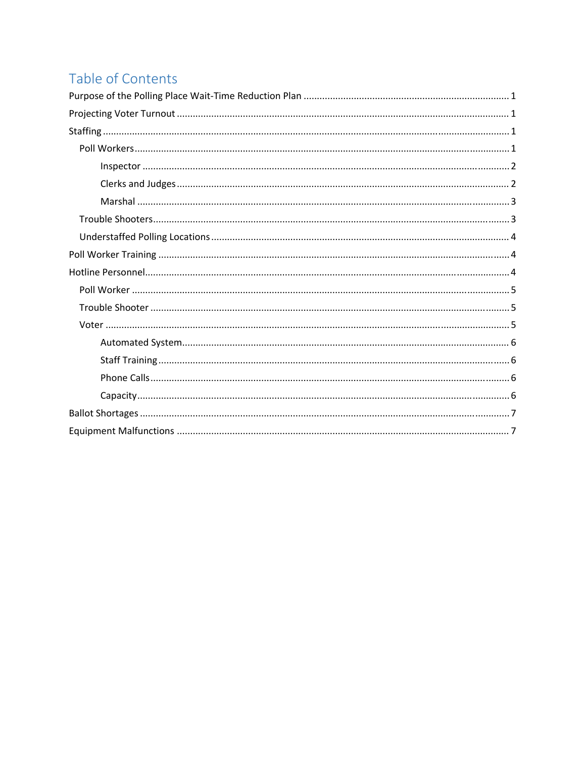# Table of Contents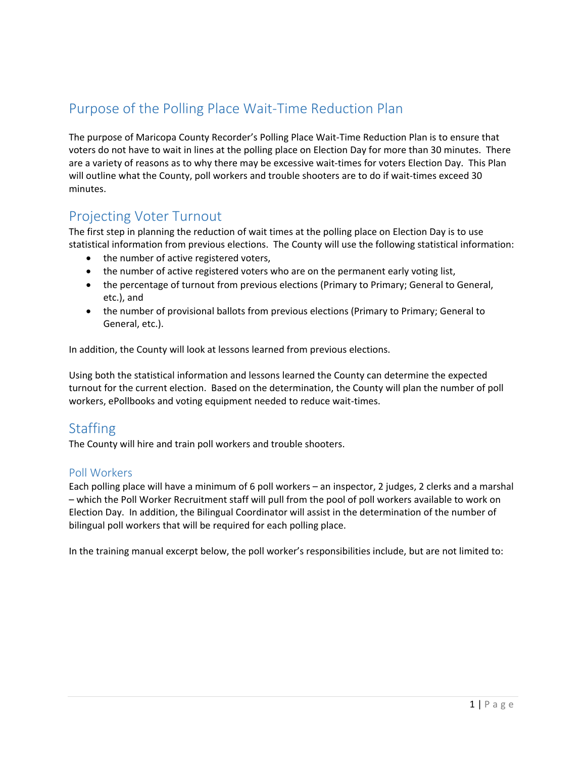# Purpose of the Polling Place Wait‐Time Reduction Plan

The purpose of Maricopa County Recorder's Polling Place Wait‐Time Reduction Plan is to ensure that voters do not have to wait in lines at the polling place on Election Day for more than 30 minutes. There are a variety of reasons as to why there may be excessive wait‐times for voters Election Day. This Plan will outline what the County, poll workers and trouble shooters are to do if wait‐times exceed 30 minutes.

# Projecting Voter Turnout

The first step in planning the reduction of wait times at the polling place on Election Day is to use statistical information from previous elections. The County will use the following statistical information:

- the number of active registered voters,
- the number of active registered voters who are on the permanent early voting list,
- the percentage of turnout from previous elections (Primary to Primary; General to General, etc.), and
- the number of provisional ballots from previous elections (Primary to Primary; General to General, etc.).

In addition, the County will look at lessons learned from previous elections.

Using both the statistical information and lessons learned the County can determine the expected turnout for the current election. Based on the determination, the County will plan the number of poll workers, ePollbooks and voting equipment needed to reduce wait‐times.

# **Staffing**

The County will hire and train poll workers and trouble shooters.

# Poll Workers

Each polling place will have a minimum of 6 poll workers – an inspector, 2 judges, 2 clerks and a marshal – which the Poll Worker Recruitment staff will pull from the pool of poll workers available to work on Election Day. In addition, the Bilingual Coordinator will assist in the determination of the number of bilingual poll workers that will be required for each polling place.

In the training manual excerpt below, the poll worker's responsibilities include, but are not limited to: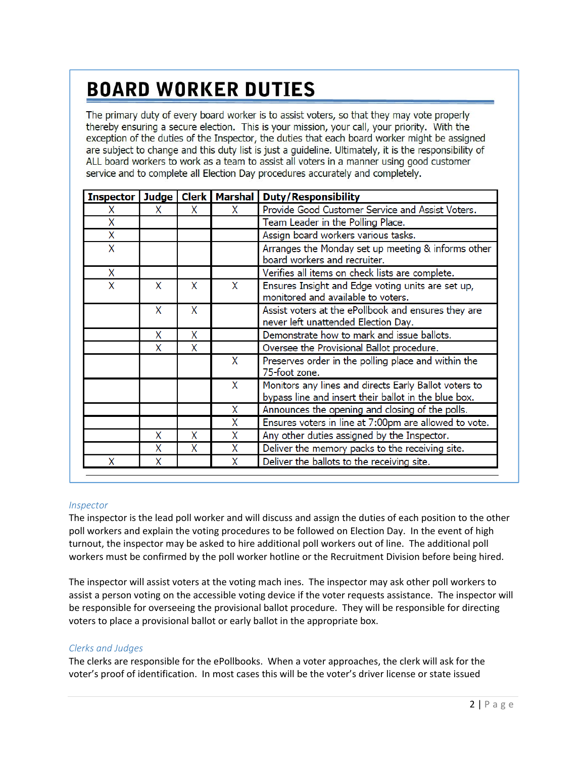# **BOARD WORKER DUTIES**

The primary duty of every board worker is to assist voters, so that they may vote properly thereby ensuring a secure election. This is your mission, your call, your priority. With the exception of the duties of the Inspector, the duties that each board worker might be assigned are subject to change and this duty list is just a guideline. Ultimately, it is the responsibility of ALL board workers to work as a team to assist all voters in a manner using good customer service and to complete all Election Day procedures accurately and completely.

| <b>Inspector</b> |   |   | Judge   Clerk   Marshal | <b>Duty/Responsibility</b>                                                                                    |
|------------------|---|---|-------------------------|---------------------------------------------------------------------------------------------------------------|
| χ                | x | X | X                       | Provide Good Customer Service and Assist Voters.                                                              |
| Χ                |   |   |                         | Team Leader in the Polling Place.                                                                             |
| Χ                |   |   |                         | Assign board workers various tasks.                                                                           |
| X                |   |   |                         | Arranges the Monday set up meeting & informs other<br>board workers and recruiter.                            |
| X                |   |   |                         | Verifies all items on check lists are complete.                                                               |
| X                | X | X | X                       | Ensures Insight and Edge voting units are set up,<br>monitored and available to voters.                       |
|                  | X | X |                         | Assist voters at the ePollbook and ensures they are<br>never left unattended Election Day.                    |
|                  | X | X |                         | Demonstrate how to mark and issue ballots.                                                                    |
|                  | X | X |                         | Oversee the Provisional Ballot procedure.                                                                     |
|                  |   |   | X                       | Preserves order in the polling place and within the<br>75-foot zone.                                          |
|                  |   |   | X                       | Monitors any lines and directs Early Ballot voters to<br>bypass line and insert their ballot in the blue box. |
|                  |   |   | X                       | Announces the opening and closing of the polls.                                                               |
|                  |   |   | X                       | Ensures voters in line at 7:00pm are allowed to vote.                                                         |
|                  | X | x | X                       | Any other duties assigned by the Inspector.                                                                   |
|                  | X | Χ | X                       | Deliver the memory packs to the receiving site.                                                               |
| x                | Χ |   | X                       | Deliver the ballots to the receiving site.                                                                    |

#### *Inspector*

The inspector is the lead poll worker and will discuss and assign the duties of each position to the other poll workers and explain the voting procedures to be followed on Election Day. In the event of high turnout, the inspector may be asked to hire additional poll workers out of line. The additional poll workers must be confirmed by the poll worker hotline or the Recruitment Division before being hired.

The inspector will assist voters at the voting mach ines. The inspector may ask other poll workers to assist a person voting on the accessible voting device if the voter requests assistance. The inspector will be responsible for overseeing the provisional ballot procedure. They will be responsible for directing voters to place a provisional ballot or early ballot in the appropriate box.

#### *Clerks and Judges*

The clerks are responsible for the ePollbooks. When a voter approaches, the clerk will ask for the voter's proof of identification. In most cases this will be the voter's driver license or state issued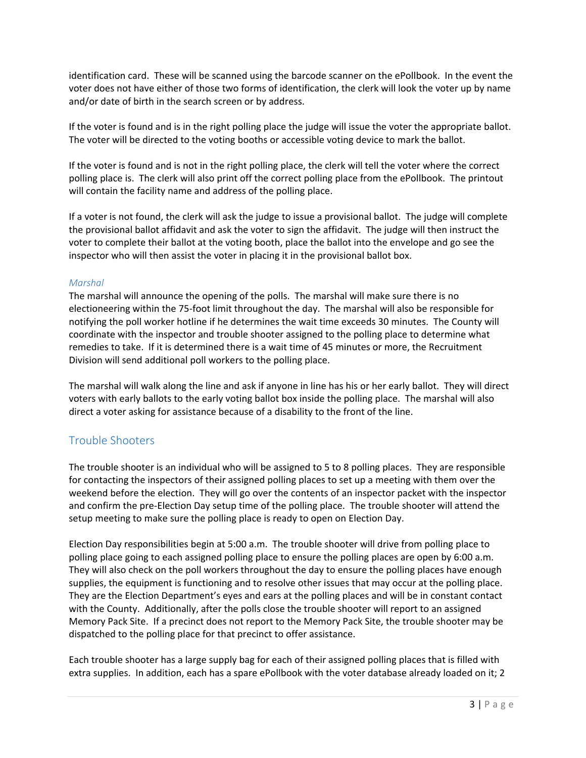identification card. These will be scanned using the barcode scanner on the ePollbook. In the event the voter does not have either of those two forms of identification, the clerk will look the voter up by name and/or date of birth in the search screen or by address.

If the voter is found and is in the right polling place the judge will issue the voter the appropriate ballot. The voter will be directed to the voting booths or accessible voting device to mark the ballot.

If the voter is found and is not in the right polling place, the clerk will tell the voter where the correct polling place is. The clerk will also print off the correct polling place from the ePollbook. The printout will contain the facility name and address of the polling place.

If a voter is not found, the clerk will ask the judge to issue a provisional ballot. The judge will complete the provisional ballot affidavit and ask the voter to sign the affidavit. The judge will then instruct the voter to complete their ballot at the voting booth, place the ballot into the envelope and go see the inspector who will then assist the voter in placing it in the provisional ballot box.

#### *Marshal*

The marshal will announce the opening of the polls. The marshal will make sure there is no electioneering within the 75‐foot limit throughout the day. The marshal will also be responsible for notifying the poll worker hotline if he determines the wait time exceeds 30 minutes. The County will coordinate with the inspector and trouble shooter assigned to the polling place to determine what remedies to take. If it is determined there is a wait time of 45 minutes or more, the Recruitment Division will send additional poll workers to the polling place.

The marshal will walk along the line and ask if anyone in line has his or her early ballot. They will direct voters with early ballots to the early voting ballot box inside the polling place. The marshal will also direct a voter asking for assistance because of a disability to the front of the line.

# Trouble Shooters

The trouble shooter is an individual who will be assigned to 5 to 8 polling places. They are responsible for contacting the inspectors of their assigned polling places to set up a meeting with them over the weekend before the election. They will go over the contents of an inspector packet with the inspector and confirm the pre‐Election Day setup time of the polling place. The trouble shooter will attend the setup meeting to make sure the polling place is ready to open on Election Day.

Election Day responsibilities begin at 5:00 a.m. The trouble shooter will drive from polling place to polling place going to each assigned polling place to ensure the polling places are open by 6:00 a.m. They will also check on the poll workers throughout the day to ensure the polling places have enough supplies, the equipment is functioning and to resolve other issues that may occur at the polling place. They are the Election Department's eyes and ears at the polling places and will be in constant contact with the County. Additionally, after the polls close the trouble shooter will report to an assigned Memory Pack Site. If a precinct does not report to the Memory Pack Site, the trouble shooter may be dispatched to the polling place for that precinct to offer assistance.

Each trouble shooter has a large supply bag for each of their assigned polling places that is filled with extra supplies. In addition, each has a spare ePollbook with the voter database already loaded on it; 2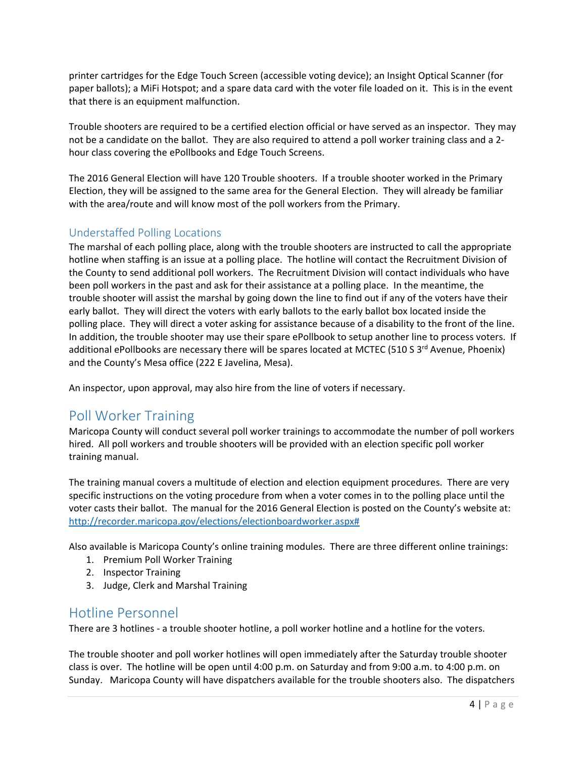printer cartridges for the Edge Touch Screen (accessible voting device); an Insight Optical Scanner (for paper ballots); a MiFi Hotspot; and a spare data card with the voter file loaded on it. This is in the event that there is an equipment malfunction.

Trouble shooters are required to be a certified election official or have served as an inspector. They may not be a candidate on the ballot. They are also required to attend a poll worker training class and a 2hour class covering the ePollbooks and Edge Touch Screens.

The 2016 General Election will have 120 Trouble shooters. If a trouble shooter worked in the Primary Election, they will be assigned to the same area for the General Election. They will already be familiar with the area/route and will know most of the poll workers from the Primary.

# Understaffed Polling Locations

The marshal of each polling place, along with the trouble shooters are instructed to call the appropriate hotline when staffing is an issue at a polling place. The hotline will contact the Recruitment Division of the County to send additional poll workers. The Recruitment Division will contact individuals who have been poll workers in the past and ask for their assistance at a polling place. In the meantime, the trouble shooter will assist the marshal by going down the line to find out if any of the voters have their early ballot. They will direct the voters with early ballots to the early ballot box located inside the polling place. They will direct a voter asking for assistance because of a disability to the front of the line. In addition, the trouble shooter may use their spare ePollbook to setup another line to process voters. If additional ePollbooks are necessary there will be spares located at MCTEC (510 S 3<sup>rd</sup> Avenue, Phoenix) and the County's Mesa office (222 E Javelina, Mesa).

An inspector, upon approval, may also hire from the line of voters if necessary.

# Poll Worker Training

Maricopa County will conduct several poll worker trainings to accommodate the number of poll workers hired. All poll workers and trouble shooters will be provided with an election specific poll worker training manual.

The training manual covers a multitude of election and election equipment procedures. There are very specific instructions on the voting procedure from when a voter comes in to the polling place until the voter casts their ballot. The manual for the 2016 General Election is posted on the County's website at: http://recorder.maricopa.gov/elections/electionboardworker.aspx#

Also available is Maricopa County's online training modules. There are three different online trainings:

- 1. Premium Poll Worker Training
- 2. Inspector Training
- 3. Judge, Clerk and Marshal Training

# Hotline Personnel

There are 3 hotlines - a trouble shooter hotline, a poll worker hotline and a hotline for the voters.

The trouble shooter and poll worker hotlines will open immediately after the Saturday trouble shooter class is over. The hotline will be open until 4:00 p.m. on Saturday and from 9:00 a.m. to 4:00 p.m. on Sunday. Maricopa County will have dispatchers available for the trouble shooters also. The dispatchers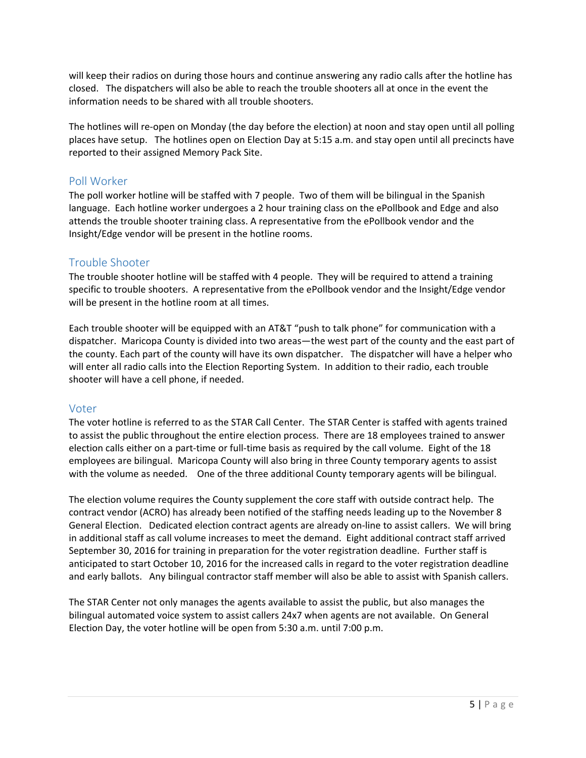will keep their radios on during those hours and continue answering any radio calls after the hotline has closed. The dispatchers will also be able to reach the trouble shooters all at once in the event the information needs to be shared with all trouble shooters.

The hotlines will re-open on Monday (the day before the election) at noon and stay open until all polling places have setup. The hotlines open on Election Day at 5:15 a.m. and stay open until all precincts have reported to their assigned Memory Pack Site.

## Poll Worker

The poll worker hotline will be staffed with 7 people. Two of them will be bilingual in the Spanish language. Each hotline worker undergoes a 2 hour training class on the ePollbook and Edge and also attends the trouble shooter training class. A representative from the ePollbook vendor and the Insight/Edge vendor will be present in the hotline rooms.

## Trouble Shooter

The trouble shooter hotline will be staffed with 4 people. They will be required to attend a training specific to trouble shooters. A representative from the ePollbook vendor and the Insight/Edge vendor will be present in the hotline room at all times.

Each trouble shooter will be equipped with an AT&T "push to talk phone" for communication with a dispatcher. Maricopa County is divided into two areas—the west part of the county and the east part of the county. Each part of the county will have its own dispatcher. The dispatcher will have a helper who will enter all radio calls into the Election Reporting System. In addition to their radio, each trouble shooter will have a cell phone, if needed.

### Voter

The voter hotline is referred to as the STAR Call Center. The STAR Center is staffed with agents trained to assist the public throughout the entire election process. There are 18 employees trained to answer election calls either on a part‐time or full‐time basis as required by the call volume. Eight of the 18 employees are bilingual. Maricopa County will also bring in three County temporary agents to assist with the volume as needed. One of the three additional County temporary agents will be bilingual.

The election volume requires the County supplement the core staff with outside contract help. The contract vendor (ACRO) has already been notified of the staffing needs leading up to the November 8 General Election. Dedicated election contract agents are already on‐line to assist callers. We will bring in additional staff as call volume increases to meet the demand. Eight additional contract staff arrived September 30, 2016 for training in preparation for the voter registration deadline. Further staff is anticipated to start October 10, 2016 for the increased calls in regard to the voter registration deadline and early ballots. Any bilingual contractor staff member will also be able to assist with Spanish callers.

The STAR Center not only manages the agents available to assist the public, but also manages the bilingual automated voice system to assist callers 24x7 when agents are not available. On General Election Day, the voter hotline will be open from 5:30 a.m. until 7:00 p.m.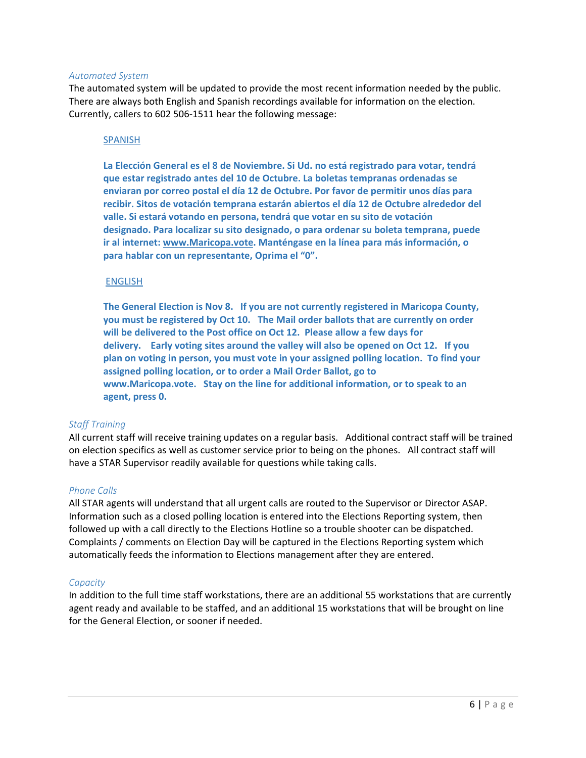#### *Automated System*

The automated system will be updated to provide the most recent information needed by the public. There are always both English and Spanish recordings available for information on the election. Currently, callers to 602 506‐1511 hear the following message:

#### SPANISH

**La Elección General es el 8 de Noviembre. Si Ud. no está registrado para votar, tendrá que estar registrado antes del 10 de Octubre. La boletas tempranas ordenadas se enviaran por correo postal el día 12 de Octubre. Por favor de permitir unos días para recibir. Sitos de votación temprana estarán abiertos el día 12 de Octubre alrededor del valle. Si estará votando en persona, tendrá que votar en su sito de votación designado. Para localizar su sito designado, o para ordenar su boleta temprana, puede ir al internet: www.Maricopa.vote. Manténgase en la línea para más información, o para hablar con un representante, Oprima el "0".**

#### ENGLISH

**The General Election is Nov 8. If you are not currently registered in Maricopa County, you must be registered by Oct 10. The Mail order ballots that are currently on order will be delivered to the Post office on Oct 12. Please allow a few days for delivery. Early voting sites around the valley will also be opened on Oct 12. If you plan on voting in person, you must vote in your assigned polling location. To find your assigned polling location, or to order a Mail Order Ballot, go to www.Maricopa.vote. Stay on the line for additional information, or to speak to an agent, press 0.**

#### *Staff Training*

All current staff will receive training updates on a regular basis. Additional contract staff will be trained on election specifics as well as customer service prior to being on the phones. All contract staff will have a STAR Supervisor readily available for questions while taking calls.

#### *Phone Calls*

All STAR agents will understand that all urgent calls are routed to the Supervisor or Director ASAP. Information such as a closed polling location is entered into the Elections Reporting system, then followed up with a call directly to the Elections Hotline so a trouble shooter can be dispatched. Complaints / comments on Election Day will be captured in the Elections Reporting system which automatically feeds the information to Elections management after they are entered.

#### *Capacity*

In addition to the full time staff workstations, there are an additional 55 workstations that are currently agent ready and available to be staffed, and an additional 15 workstations that will be brought on line for the General Election, or sooner if needed.